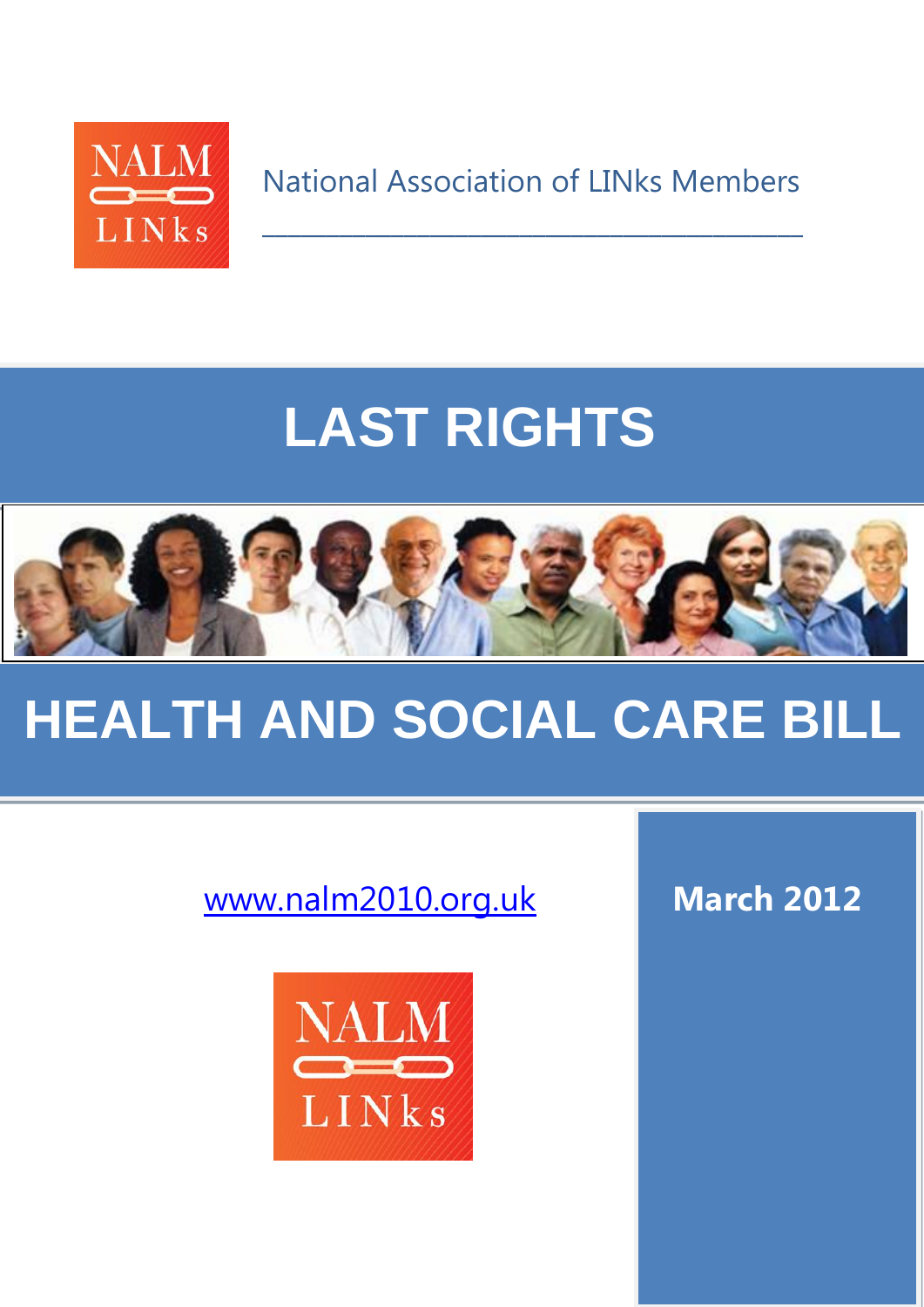

National Association of LINks Members

 $\mathcal{L}_\text{max}$  and  $\mathcal{L}_\text{max}$  and  $\mathcal{L}_\text{max}$  and  $\mathcal{L}_\text{max}$  and  $\mathcal{L}_\text{max}$ 

# **LAST RIGHTS**



# **HEALTH AND SOCIAL CARE BILL**

[www.nalm2010.org.uk](http://www.nalm2010.org.uk/) **March 2012**

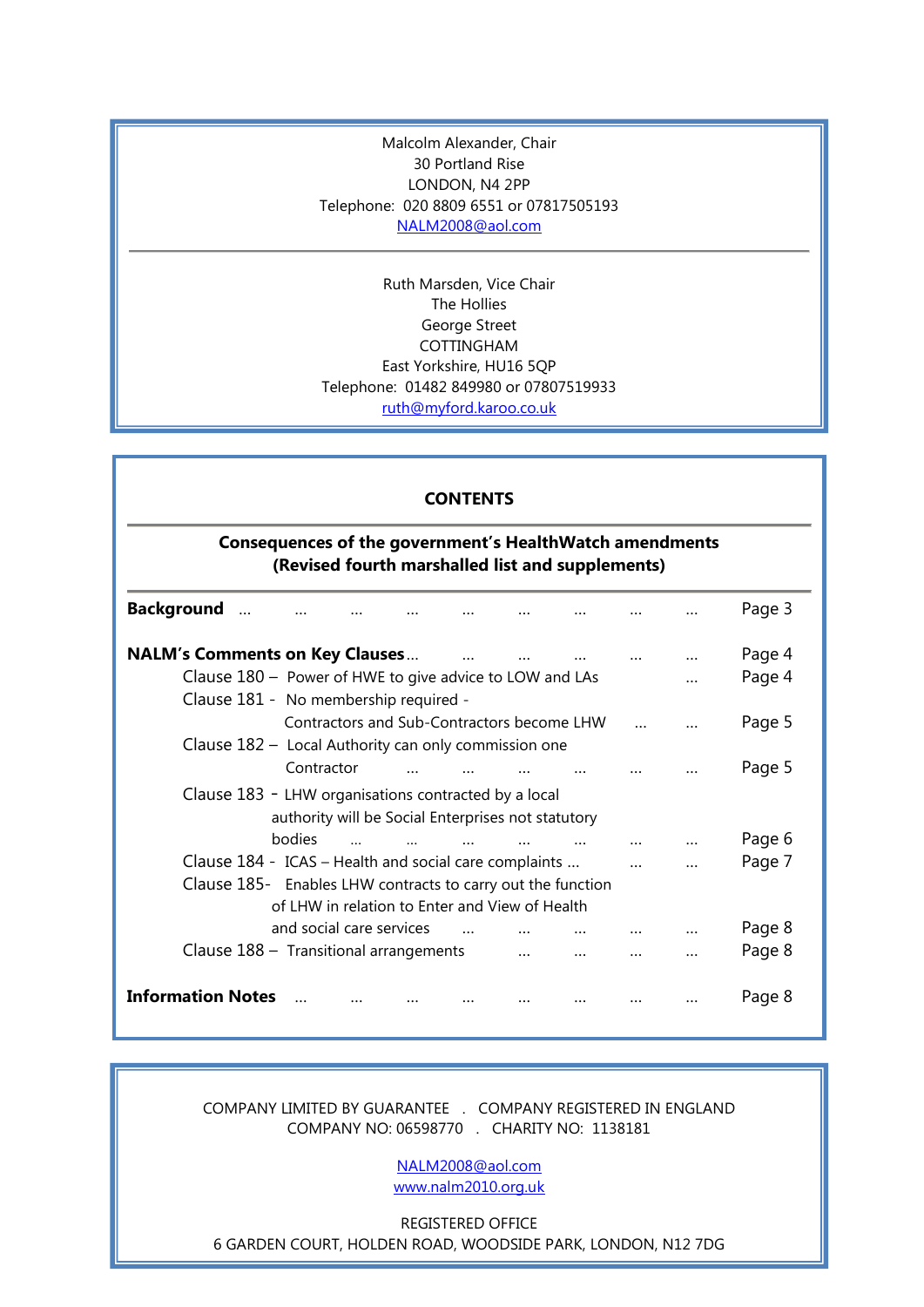Malcolm Alexander, Chair 30 Portland Rise LONDON, N4 2PP Telephone: 020 8809 6551 or 07817505193 [NALM2008@aol.com](mailto:NALM2008@aol.com)

Ruth Marsden, Vice Chair The Hollies George Street COTTINGHAM East Yorkshire, HU16 5QP Telephone: 01482 849980 or 07807519933 [ruth@myford.karoo.co.uk](mailto:ruth@myford.karoo.co.uk)

#### **CONTENTS**

# **Consequences of the government's HealthWatch amendments (Revised fourth marshalled list and supplements)**

| <b>Background</b>                                           |                                                         |                                            |  |  |  |  |  |  |  | Page 3 |
|-------------------------------------------------------------|---------------------------------------------------------|--------------------------------------------|--|--|--|--|--|--|--|--------|
|                                                             | <b>NALM's Comments on Key Clauses</b>                   |                                            |  |  |  |  |  |  |  | Page 4 |
|                                                             | Clause 180 - Power of HWE to give advice to LOW and LAs |                                            |  |  |  |  |  |  |  | Page 4 |
| Clause 181 - No membership required -                       |                                                         |                                            |  |  |  |  |  |  |  |        |
|                                                             |                                                         | Contractors and Sub-Contractors become LHW |  |  |  |  |  |  |  | Page 5 |
| Clause 182 - Local Authority can only commission one        |                                                         |                                            |  |  |  |  |  |  |  |        |
|                                                             |                                                         | Contractor                                 |  |  |  |  |  |  |  | Page 5 |
| Clause 183 - LHW organisations contracted by a local        |                                                         |                                            |  |  |  |  |  |  |  |        |
| authority will be Social Enterprises not statutory          |                                                         |                                            |  |  |  |  |  |  |  |        |
|                                                             |                                                         | bodies                                     |  |  |  |  |  |  |  | Page 6 |
|                                                             | Clause 184 - ICAS - Health and social care complaints   |                                            |  |  |  |  |  |  |  | Page 7 |
| Clause 185- Enables LHW contracts to carry out the function |                                                         |                                            |  |  |  |  |  |  |  |        |
| of LHW in relation to Enter and View of Health              |                                                         |                                            |  |  |  |  |  |  |  |        |
|                                                             |                                                         | and social care services                   |  |  |  |  |  |  |  | Page 8 |
|                                                             | Clause $188 -$ Transitional arrangements                |                                            |  |  |  |  |  |  |  | Page 8 |
|                                                             | <b>Information Notes</b>                                |                                            |  |  |  |  |  |  |  | Page 8 |
|                                                             |                                                         |                                            |  |  |  |  |  |  |  |        |

COMPANY LIMITED BY GUARANTEE . COMPANY REGISTERED IN ENGLAND COMPANY NO: 06598770 . CHARITY NO: 1138181

> [NALM2008@aol.com](mailto:NALM2008@aol.com) [www.nalm2010.org.uk](http://www.nalm2010.org.uk/)

REGISTERED OFFICE

6 GARDEN COURT, HOLDEN ROAD, WOODSIDE PARK, LONDON, N12 7DG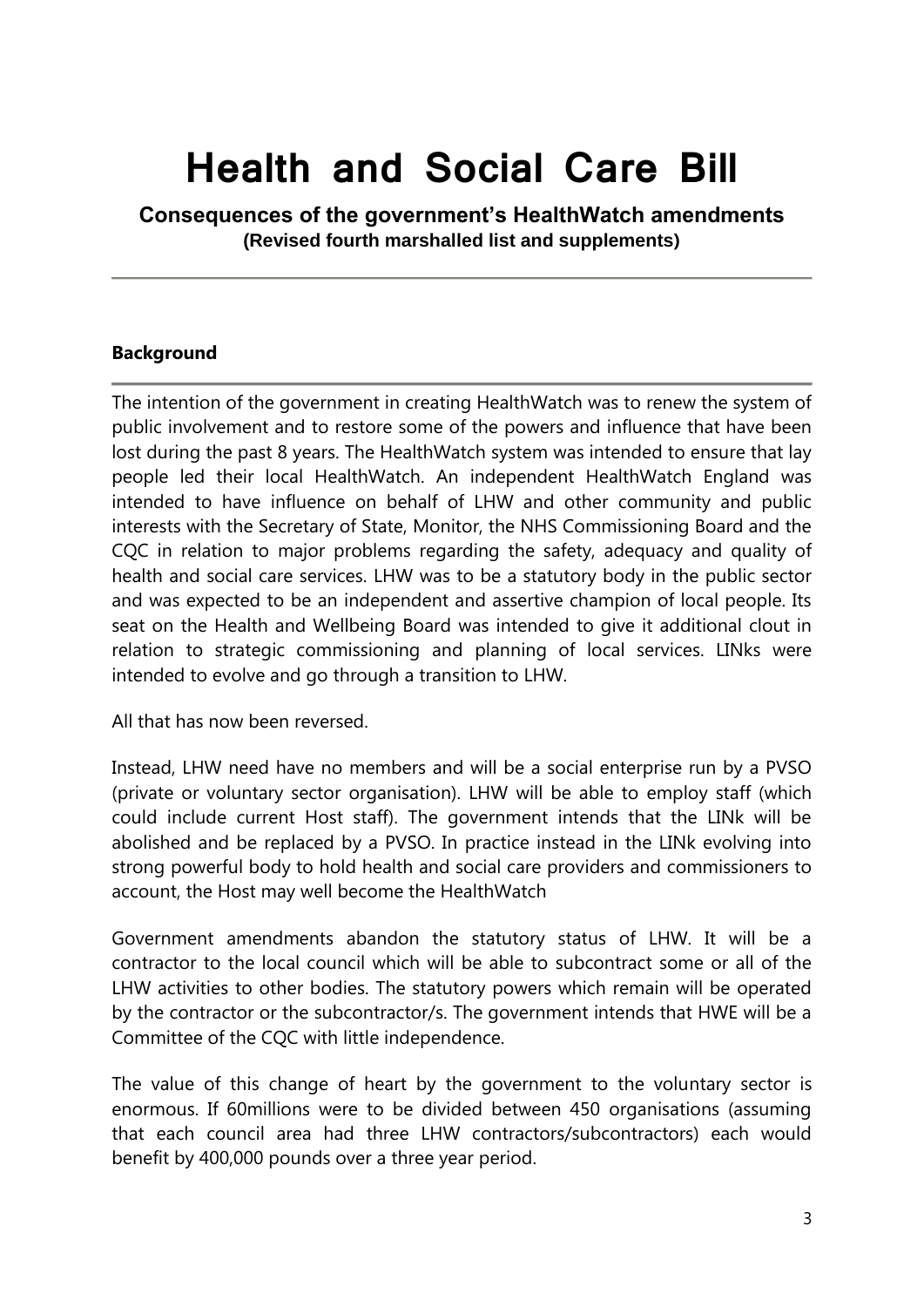# **Health and Social Care Bill**

**Consequences of the government's HealthWatch amendments (Revised fourth marshalled list and supplements)**

# **Background**

The intention of the government in creating HealthWatch was to renew the system of public involvement and to restore some of the powers and influence that have been lost during the past 8 years. The HealthWatch system was intended to ensure that lay people led their local HealthWatch. An independent HealthWatch England was intended to have influence on behalf of LHW and other community and public interests with the Secretary of State, Monitor, the NHS Commissioning Board and the CQC in relation to major problems regarding the safety, adequacy and quality of health and social care services. LHW was to be a statutory body in the public sector and was expected to be an independent and assertive champion of local people. Its seat on the Health and Wellbeing Board was intended to give it additional clout in relation to strategic commissioning and planning of local services. LINks were intended to evolve and go through a transition to LHW.

All that has now been reversed.

Instead, LHW need have no members and will be a social enterprise run by a PVSO (private or voluntary sector organisation). LHW will be able to employ staff (which could include current Host staff). The government intends that the LINk will be abolished and be replaced by a PVSO. In practice instead in the LINk evolving into strong powerful body to hold health and social care providers and commissioners to account, the Host may well become the HealthWatch

Government amendments abandon the statutory status of LHW. It will be a contractor to the local council which will be able to subcontract some or all of the LHW activities to other bodies. The statutory powers which remain will be operated by the contractor or the subcontractor/s. The government intends that HWE will be a Committee of the CQC with little independence.

The value of this change of heart by the government to the voluntary sector is enormous. If 60millions were to be divided between 450 organisations (assuming that each council area had three LHW contractors/subcontractors) each would benefit by 400,000 pounds over a three year period.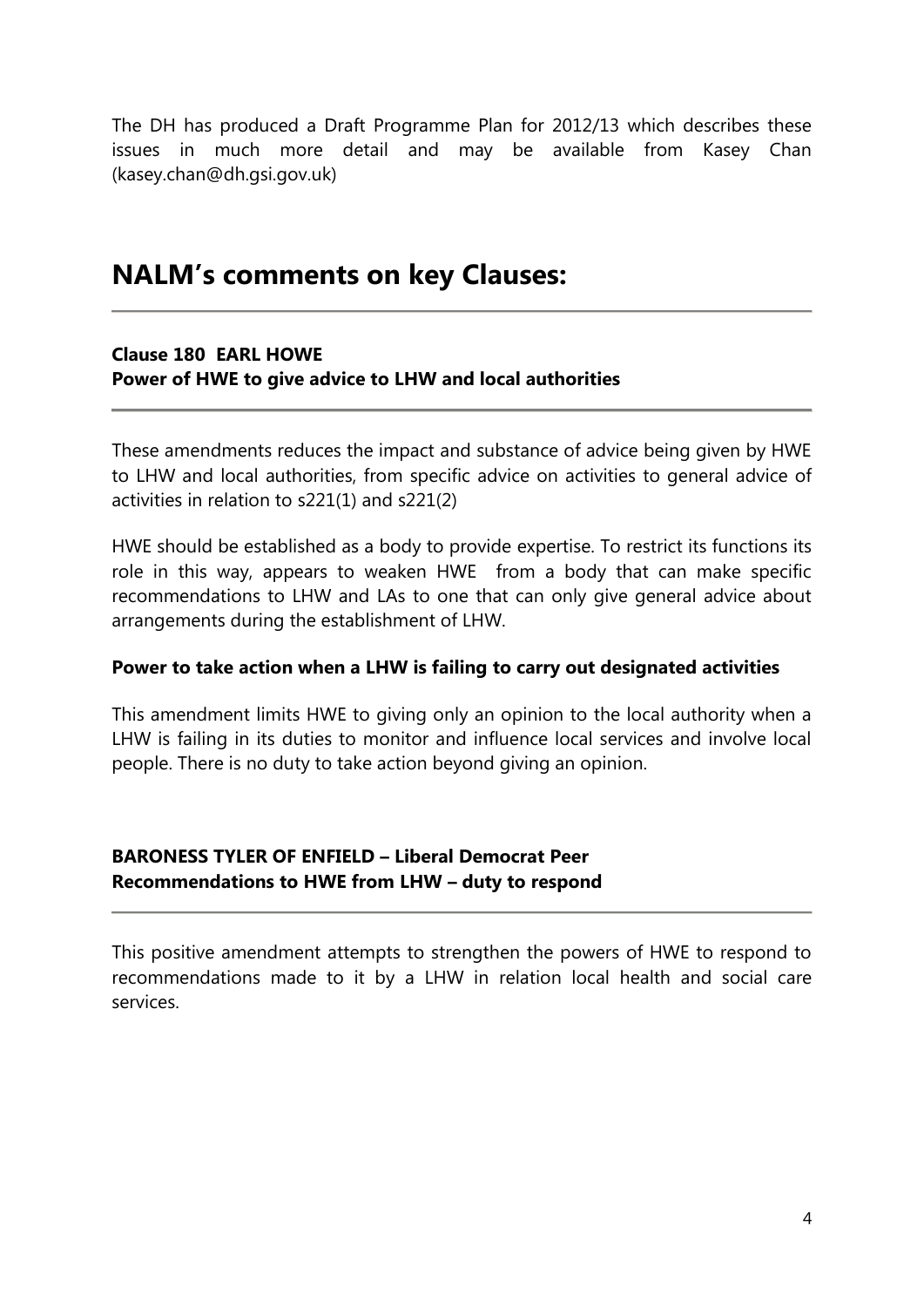The DH has produced a Draft Programme Plan for 2012/13 which describes these issues in much more detail and may be available from Kasey Chan (kasey.chan@dh.gsi.gov.uk)

# **NALM's comments on key Clauses:**

# **Clause 180 EARL HOWE**

# **Power of HWE to give advice to LHW and local authorities**

These amendments reduces the impact and substance of advice being given by HWE to LHW and local authorities, from specific advice on activities to general advice of activities in relation to s221(1) and s221(2)

HWE should be established as a body to provide expertise. To restrict its functions its role in this way, appears to weaken HWE from a body that can make specific recommendations to LHW and LAs to one that can only give general advice about arrangements during the establishment of LHW.

# **Power to take action when a LHW is failing to carry out designated activities**

This amendment limits HWE to giving only an opinion to the local authority when a LHW is failing in its duties to monitor and influence local services and involve local people. There is no duty to take action beyond giving an opinion.

# **BARONESS TYLER OF ENFIELD – Liberal Democrat Peer Recommendations to HWE from LHW – duty to respond**

This positive amendment attempts to strengthen the powers of HWE to respond to recommendations made to it by a LHW in relation local health and social care services.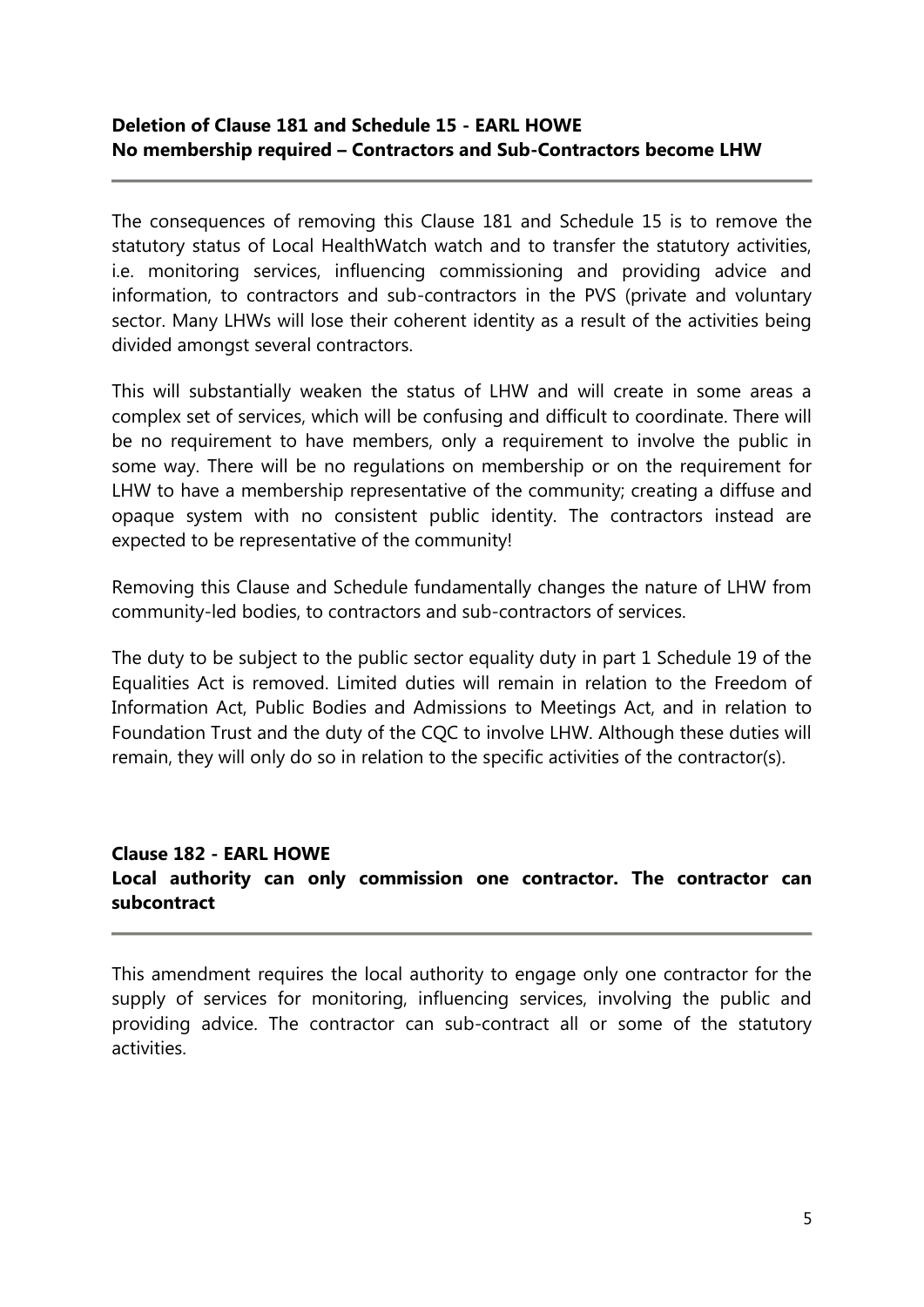# **Deletion of Clause 181 and Schedule 15 - EARL HOWE No membership required – Contractors and Sub-Contractors become LHW**

The consequences of removing this Clause 181 and Schedule 15 is to remove the statutory status of Local HealthWatch watch and to transfer the statutory activities, i.e. monitoring services, influencing commissioning and providing advice and information, to contractors and sub-contractors in the PVS (private and voluntary sector. Many LHWs will lose their coherent identity as a result of the activities being divided amongst several contractors.

This will substantially weaken the status of LHW and will create in some areas a complex set of services, which will be confusing and difficult to coordinate. There will be no requirement to have members, only a requirement to involve the public in some way. There will be no regulations on membership or on the requirement for LHW to have a membership representative of the community; creating a diffuse and opaque system with no consistent public identity. The contractors instead are expected to be representative of the community!

Removing this Clause and Schedule fundamentally changes the nature of LHW from community-led bodies, to contractors and sub-contractors of services.

The duty to be subject to the public sector equality duty in part 1 Schedule 19 of the Equalities Act is removed. Limited duties will remain in relation to the Freedom of Information Act, Public Bodies and Admissions to Meetings Act, and in relation to Foundation Trust and the duty of the CQC to involve LHW. Although these duties will remain, they will only do so in relation to the specific activities of the contractor(s).

# **Clause 182 - EARL HOWE Local authority can only commission one contractor. The contractor can subcontract**

This amendment requires the local authority to engage only one contractor for the supply of services for monitoring, influencing services, involving the public and providing advice. The contractor can sub-contract all or some of the statutory activities.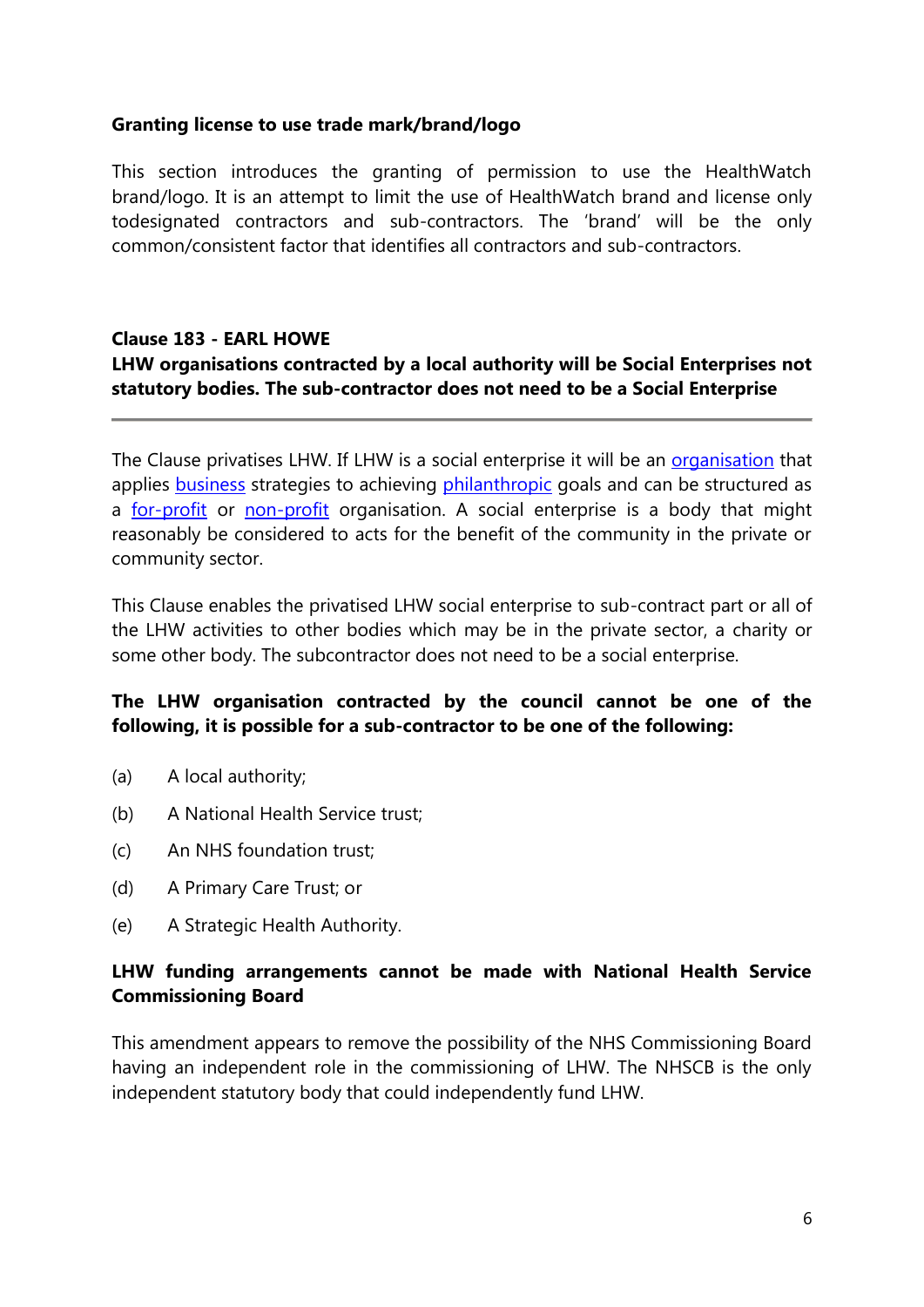# **Granting license to use trade mark/brand/logo**

This section introduces the granting of permission to use the HealthWatch brand/logo. It is an attempt to limit the use of HealthWatch brand and license only todesignated contractors and sub-contractors. The ‗brand' will be the only common/consistent factor that identifies all contractors and sub-contractors.

# **Clause 183 - EARL HOWE**

# **LHW organisations contracted by a local authority will be Social Enterprises not statutory bodies. The sub-contractor does not need to be a Social Enterprise**

The Clause privatises LHW. If LHW is a social enterprise it will be an [organisation](http://en.wikipedia.org/wiki/Organization) that applies [business](http://en.wikipedia.org/wiki/Business) strategies to achieving [philanthropic](http://en.wikipedia.org/wiki/Philanthropy) goals and can be structured as a [for-profit](http://en.wikipedia.org/wiki/Profit_(accounting)) or [non-profit](http://en.wikipedia.org/wiki/Nonprofit_organization) organisation. A social enterprise is a body that might reasonably be considered to acts for the benefit of the community in the private or community sector.

This Clause enables the privatised LHW social enterprise to sub-contract part or all of the LHW activities to other bodies which may be in the private sector, a charity or some other body. The subcontractor does not need to be a social enterprise.

# **The LHW organisation contracted by the council cannot be one of the following, it is possible for a sub-contractor to be one of the following:**

- (a) A local authority;
- (b) A National Health Service trust;
- (c) An NHS foundation trust;
- (d) A Primary Care Trust; or
- (e) A Strategic Health Authority.

# **LHW funding arrangements cannot be made with National Health Service Commissioning Board**

This amendment appears to remove the possibility of the NHS Commissioning Board having an independent role in the commissioning of LHW. The NHSCB is the only independent statutory body that could independently fund LHW.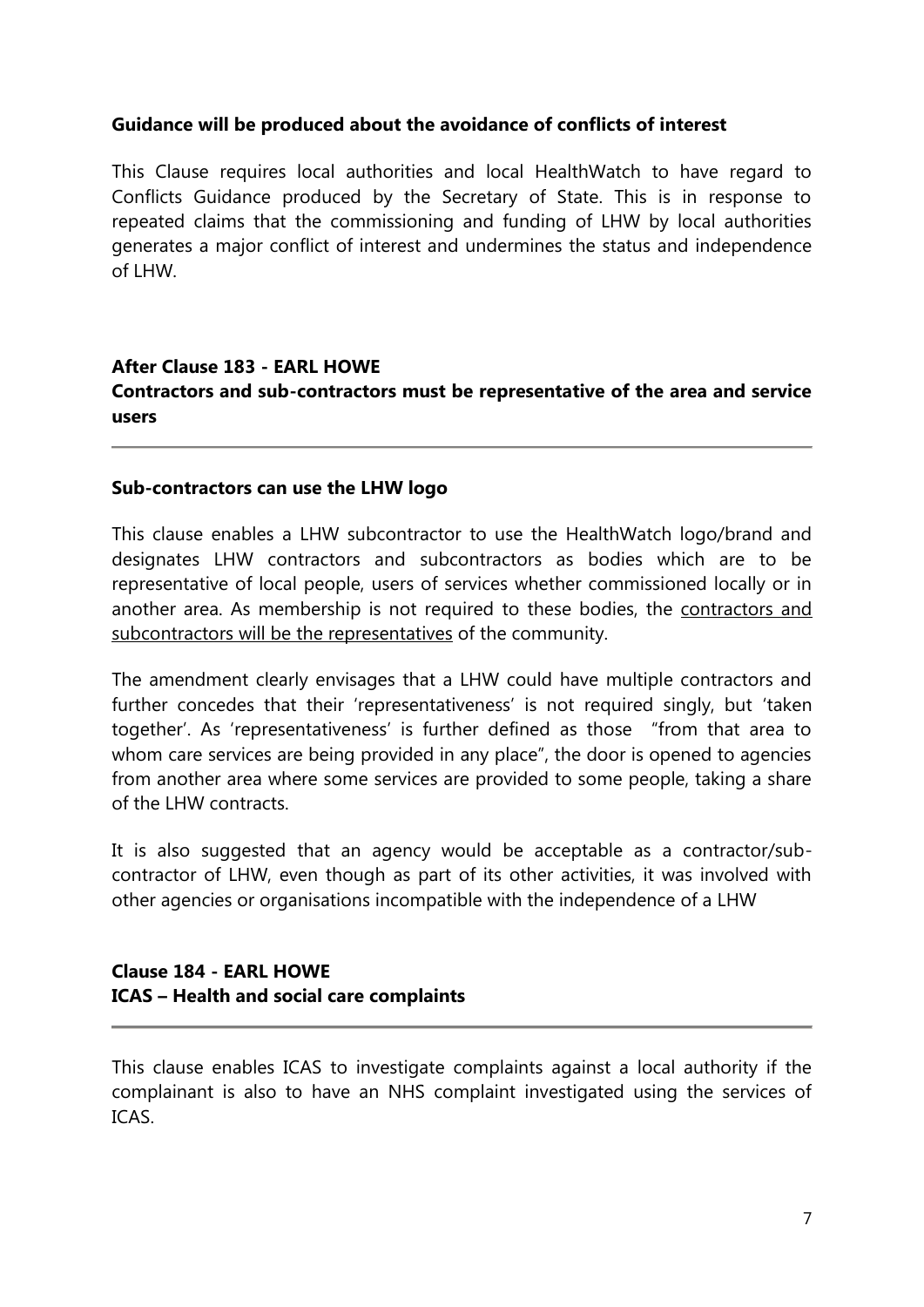# **Guidance will be produced about the avoidance of conflicts of interest**

This Clause requires local authorities and local HealthWatch to have regard to Conflicts Guidance produced by the Secretary of State. This is in response to repeated claims that the commissioning and funding of LHW by local authorities generates a major conflict of interest and undermines the status and independence of LHW.

# **After Clause 183 - EARL HOWE Contractors and sub-contractors must be representative of the area and service users**

# **Sub-contractors can use the LHW logo**

This clause enables a LHW subcontractor to use the HealthWatch logo/brand and designates LHW contractors and subcontractors as bodies which are to be representative of local people, users of services whether commissioned locally or in another area. As membership is not required to these bodies, the contractors and subcontractors will be the representatives of the community.

The amendment clearly envisages that a LHW could have multiple contractors and further concedes that their 'representativeness' is not required singly, but 'taken together'. As 'representativeness' is further defined as those "from that area to whom care services are being provided in any place", the door is opened to agencies from another area where some services are provided to some people, taking a share of the LHW contracts.

It is also suggested that an agency would be acceptable as a contractor/subcontractor of LHW, even though as part of its other activities, it was involved with other agencies or organisations incompatible with the independence of a LHW

# **Clause 184 - EARL HOWE ICAS – Health and social care complaints**

This clause enables ICAS to investigate complaints against a local authority if the complainant is also to have an NHS complaint investigated using the services of ICAS.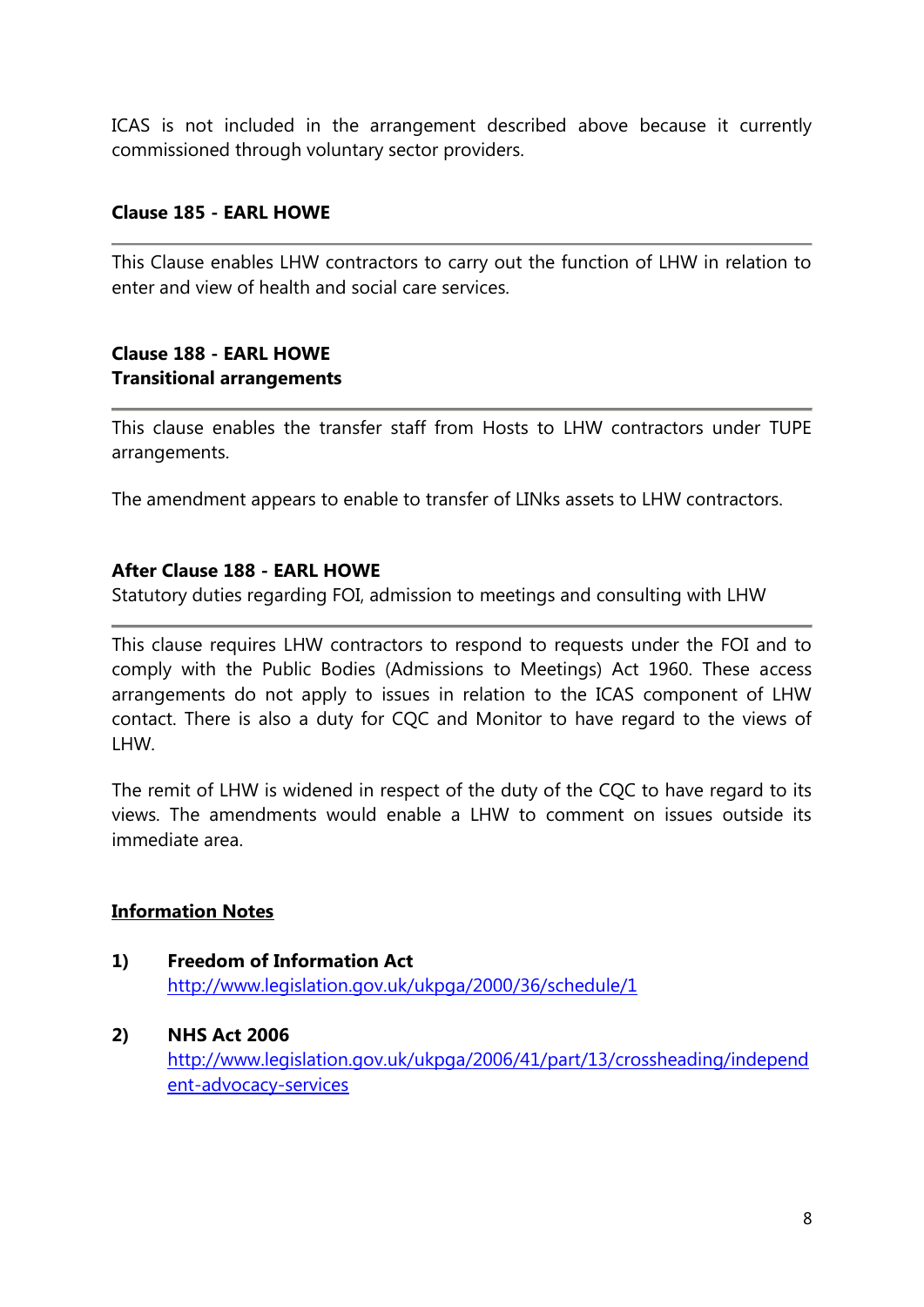ICAS is not included in the arrangement described above because it currently commissioned through voluntary sector providers.

# **Clause 185 - EARL HOWE**

This Clause enables LHW contractors to carry out the function of LHW in relation to enter and view of health and social care services.

# **Clause 188 - EARL HOWE Transitional arrangements**

This clause enables the transfer staff from Hosts to LHW contractors under TUPE arrangements.

The amendment appears to enable to transfer of LINks assets to LHW contractors.

# **After Clause 188 - EARL HOWE**

Statutory duties regarding FOI, admission to meetings and consulting with LHW

This clause requires LHW contractors to respond to requests under the FOI and to comply with the Public Bodies (Admissions to Meetings) Act 1960. These access arrangements do not apply to issues in relation to the ICAS component of LHW contact. There is also a duty for CQC and Monitor to have regard to the views of LHW.

The remit of LHW is widened in respect of the duty of the CQC to have regard to its views. The amendments would enable a LHW to comment on issues outside its immediate area.

# **Information Notes**

- **1) Freedom of Information Act** <http://www.legislation.gov.uk/ukpga/2000/36/schedule/1>
- **2) NHS Act 2006** [http://www.legislation.gov.uk/ukpga/2006/41/part/13/crossheading/independ](http://www.legislation.gov.uk/ukpga/2006/41/part/13/crossheading/independent-advocacy-services) [ent-advocacy-services](http://www.legislation.gov.uk/ukpga/2006/41/part/13/crossheading/independent-advocacy-services)